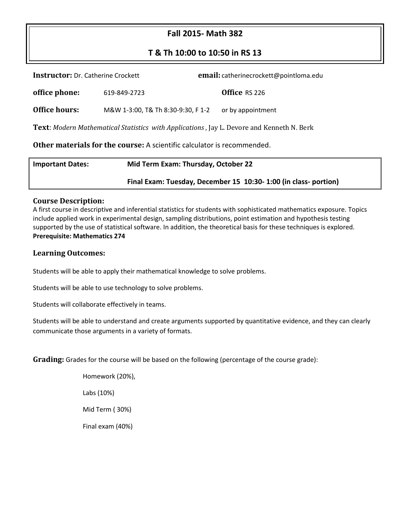# **Fall 2015- Math 382**

# **T & Th 10:00 to 10:50 in RS 13**

| <b>Instructor:</b> Dr. Catherine Crockett                                                        |                                    | email: catherinecrockett@pointloma.edu |                                     |  |  |  |  |
|--------------------------------------------------------------------------------------------------|------------------------------------|----------------------------------------|-------------------------------------|--|--|--|--|
| office phone:                                                                                    | 619-849-2723                       |                                        | Office RS 226                       |  |  |  |  |
| Office hours:                                                                                    | M&W 1-3:00, T& Th 8:30-9:30, F 1-2 |                                        | or by appointment                   |  |  |  |  |
| <b>Text:</b> Modern Mathematical Statistics with Applications, Jay L. Devore and Kenneth N. Berk |                                    |                                        |                                     |  |  |  |  |
| Other materials for the course: A scientific calculator is recommended.                          |                                    |                                        |                                     |  |  |  |  |
| Imnartant Dator:                                                                                 |                                    |                                        | Mid Torm Evam: Thursday, Ostobor 22 |  |  |  |  |

| <b>Important Dates:</b> | Mid Term Exam: Thursday, October 22                            |  |  |
|-------------------------|----------------------------------------------------------------|--|--|
|                         | Final Exam: Tuesday, December 15 10:30-1:00 (in class-portion) |  |  |

#### **Course Description:**

A first course in descriptive and inferential statistics for students with sophisticated mathematics exposure. Topics include applied work in experimental design, sampling distributions, point estimation and hypothesis testing supported by the use of statistical software. In addition, the theoretical basis for these techniques is explored. **Prerequisite: Mathematics 274**

#### **Learning Outcomes:**

Students will be able to apply their mathematical knowledge to solve problems.

Students will be able to use technology to solve problems.

Students will collaborate effectively in teams.

Students will be able to understand and create arguments supported by quantitative evidence, and they can clearly communicate those arguments in a variety of formats.

**Grading:** Grades for the course will be based on the following (percentage of the course grade):

Homework (20%), Labs (10%) Mid Term ( 30%) Final exam (40%)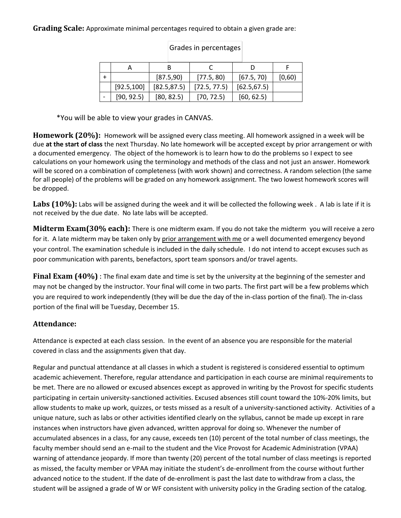#### **Grading Scale:** Approximate minimal percentages required to obtain a given grade are:

|             | [87.5,90]    | [77.5, 80]   | [67.5, 70]   | [0,60) |
|-------------|--------------|--------------|--------------|--------|
| [92.5, 100] | [82.5, 87.5] | [72.5, 77.5] | [62.5, 67.5] |        |
| [90, 92.5]  | [80, 82.5]   | [70, 72.5]   | [60, 62.5]   |        |

### Grades in percentages

\*You will be able to view your grades in CANVAS.

**Homework (20%):** Homework will be assigned every class meeting. All homework assigned in a week will be due **at the start of class** the next Thursday. No late homework will be accepted except by prior arrangement or with a documented emergency. The object of the homework is to learn how to do the problems so I expect to see calculations on your homework using the terminology and methods of the class and not just an answer. Homework will be scored on a combination of completeness (with work shown) and correctness. A random selection (the same for all people) of the problems will be graded on any homework assignment. The two lowest homework scores will be dropped.

Labs (10%): Labs will be assigned during the week and it will be collected the following week. A lab is late if it is not received by the due date. No late labs will be accepted.

**Midterm Exam(30% each):** There is one midterm exam. If you do not take the midterm you will receive a zero for it. A late midterm may be taken only by prior arrangement with me or a well documented emergency beyond your control. The examination schedule is included in the daily schedule. I do not intend to accept excuses such as poor communication with parents, benefactors, sport team sponsors and/or travel agents.

**Final Exam (40%)** : The final exam date and time is set by the university at the beginning of the semester and may not be changed by the instructor. Your final will come in two parts. The first part will be a few problems which you are required to work independently (they will be due the day of the in-class portion of the final). The in-class portion of the final will be Tuesday, December 15.

### **Attendance:**

Attendance is expected at each class session. In the event of an absence you are responsible for the material covered in class and the assignments given that day.

Regular and punctual attendance at all classes in which a student is registered is considered essential to optimum academic achievement. Therefore, regular attendance and participation in each course are minimal requirements to be met. There are no allowed or excused absences except as approved in writing by the Provost for specific students participating in certain university-sanctioned activities. Excused absences still count toward the 10%-20% limits, but allow students to make up work, quizzes, or tests missed as a result of a university-sanctioned activity. Activities of a unique nature, such as labs or other activities identified clearly on the syllabus, cannot be made up except in rare instances when instructors have given advanced, written approval for doing so. Whenever the number of accumulated absences in a class, for any cause, exceeds ten (10) percent of the total number of class meetings, the faculty member should send an e-mail to the student and the Vice Provost for Academic Administration (VPAA) warning of attendance jeopardy. If more than twenty (20) percent of the total number of class meetings is reported as missed, the faculty member or VPAA may initiate the student's de-enrollment from the course without further advanced notice to the student. If the date of de-enrollment is past the last date to withdraw from a class, the student will be assigned a grade of W or WF consistent with university policy in the Grading section of the catalog.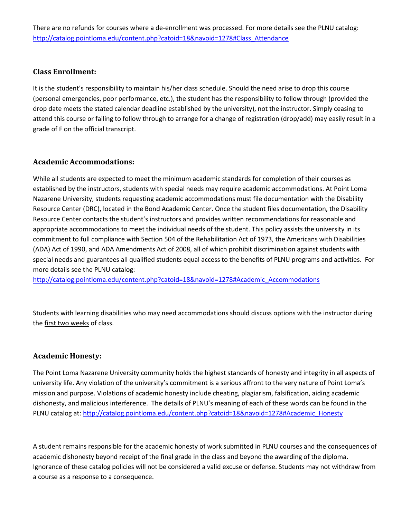There are no refunds for courses where a de-enrollment was processed. For more details see the PLNU catalog: [http://catalog.pointloma.edu/content.php?catoid=18&navoid=1278#Class\\_Attendance](http://catalog.pointloma.edu/content.php?catoid=18&navoid=1278#Class_Attendance)

### **Class Enrollment:**

It is the student's responsibility to maintain his/her class schedule. Should the need arise to drop this course (personal emergencies, poor performance, etc.), the student has the responsibility to follow through (provided the drop date meets the stated calendar deadline established by the university), not the instructor. Simply ceasing to attend this course or failing to follow through to arrange for a change of registration (drop/add) may easily result in a grade of F on the official transcript.

### **Academic Accommodations:**

While all students are expected to meet the minimum academic standards for completion of their courses as established by the instructors, students with special needs may require academic accommodations. At Point Loma Nazarene University, students requesting academic accommodations must file documentation with the Disability Resource Center (DRC), located in the Bond Academic Center. Once the student files documentation, the Disability Resource Center contacts the student's instructors and provides written recommendations for reasonable and appropriate accommodations to meet the individual needs of the student. This policy assists the university in its commitment to full compliance with Section 504 of the Rehabilitation Act of 1973, the Americans with Disabilities (ADA) Act of 1990, and ADA Amendments Act of 2008, all of which prohibit discrimination against students with special needs and guarantees all qualified students equal access to the benefits of PLNU programs and activities. For more details see the PLNU catalog:

[http://catalog.pointloma.edu/content.php?catoid=18&navoid=1278#Academic\\_Accommodations](http://catalog.pointloma.edu/content.php?catoid=18&navoid=1278#Academic_Accommodations) 

Students with learning disabilities who may need accommodations should discuss options with the instructor during the first two weeks of class.

#### **Academic Honesty:**

The Point Loma Nazarene University community holds the highest standards of honesty and integrity in all aspects of university life. Any violation of the university's commitment is a serious affront to the very nature of Point Loma's mission and purpose. Violations of academic honesty include cheating, plagiarism, falsification, aiding academic dishonesty, and malicious interference. The details of PLNU's meaning of each of these words can be found in the PLNU catalog at[: http://catalog.pointloma.edu/content.php?catoid=18&navoid=1278#Academic\\_Honesty](http://catalog.pointloma.edu/content.php?catoid=18&navoid=1278#Academic_Honesty)

A student remains responsible for the academic honesty of work submitted in PLNU courses and the consequences of academic dishonesty beyond receipt of the final grade in the class and beyond the awarding of the diploma. Ignorance of these catalog policies will not be considered a valid excuse or defense. Students may not withdraw from a course as a response to a consequence.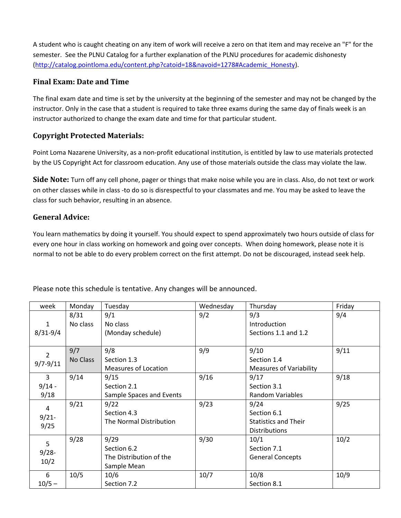A student who is caught cheating on any item of work will receive a zero on that item and may receive an "F" for the semester. See the PLNU Catalog for a further explanation of the PLNU procedures for academic dishonesty [\(http://catalog.pointloma.edu/content.php?catoid=18&navoid=1278#Academic\\_Honesty\)](http://catalog.pointloma.edu/content.php?catoid=18&navoid=1278#Academic_Honesty).

## **Final Exam: Date and Time**

The final exam date and time is set by the university at the beginning of the semester and may not be changed by the instructor. Only in the case that a student is required to take three exams during the same day of finals week is an instructor authorized to change the exam date and time for that particular student.

# **Copyright Protected Materials:**

Point Loma Nazarene University, as a non-profit educational institution, is entitled by law to use materials protected by the US Copyright Act for classroom education. Any use of those materials outside the class may violate the law.

**Side Note:** Turn off any cell phone, pager or things that make noise while you are in class. Also, do not text or work on other classes while in class -to do so is disrespectful to your classmates and me. You may be asked to leave the class for such behavior, resulting in an absence.

# **General Advice:**

You learn mathematics by doing it yourself. You should expect to spend approximately two hours outside of class for every one hour in class working on homework and going over concepts. When doing homework, please note it is normal to not be able to do every problem correct on the first attempt. Do not be discouraged, instead seek help.

| week         | Monday   | Tuesday                     | Wednesday | Thursday                       | Friday |
|--------------|----------|-----------------------------|-----------|--------------------------------|--------|
|              | 8/31     | 9/1                         | 9/2       | 9/3                            | 9/4    |
| $\mathbf{1}$ | No class | No class                    |           | Introduction                   |        |
| $8/31 - 9/4$ |          | (Monday schedule)           |           | Sections 1.1 and 1.2           |        |
|              |          |                             |           |                                |        |
| 2            | 9/7      | 9/8                         | 9/9       | 9/10                           | 9/11   |
| $9/7 - 9/11$ | No Class | Section 1.3                 |           | Section 1.4                    |        |
|              |          | <b>Measures of Location</b> |           | <b>Measures of Variability</b> |        |
| 3            | 9/14     | 9/15                        | 9/16      | 9/17                           | 9/18   |
| $9/14 -$     |          | Section 2.1                 |           | Section 3.1                    |        |
| 9/18         |          | Sample Spaces and Events    |           | <b>Random Variables</b>        |        |
| 4            | 9/21     | 9/22                        | 9/23      | 9/24                           | 9/25   |
|              |          | Section 4.3                 |           | Section 6.1                    |        |
| $9/21$ -     |          | The Normal Distribution     |           | <b>Statistics and Their</b>    |        |
| 9/25         |          |                             |           | <b>Distributions</b>           |        |
| 5            | 9/28     | 9/29                        | 9/30      | 10/1                           | 10/2   |
|              |          | Section 6.2                 |           | Section 7.1                    |        |
| $9/28 -$     |          | The Distribution of the     |           | <b>General Concepts</b>        |        |
| 10/2         |          | Sample Mean                 |           |                                |        |
| 6            | 10/5     | 10/6                        | 10/7      | 10/8                           | 10/9   |
| $10/5 -$     |          | Section 7.2                 |           | Section 8.1                    |        |

Please note this schedule is tentative. Any changes will be announced.